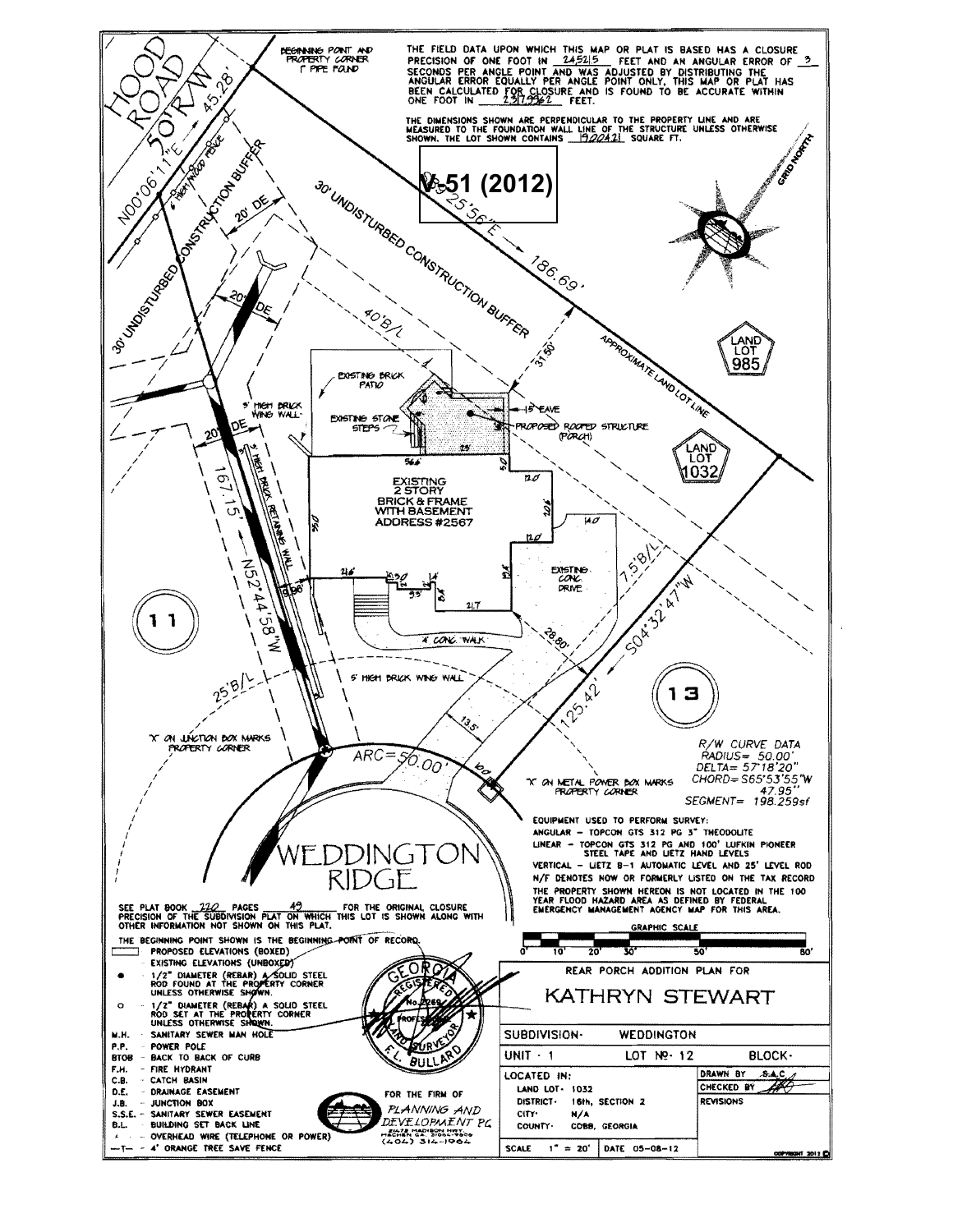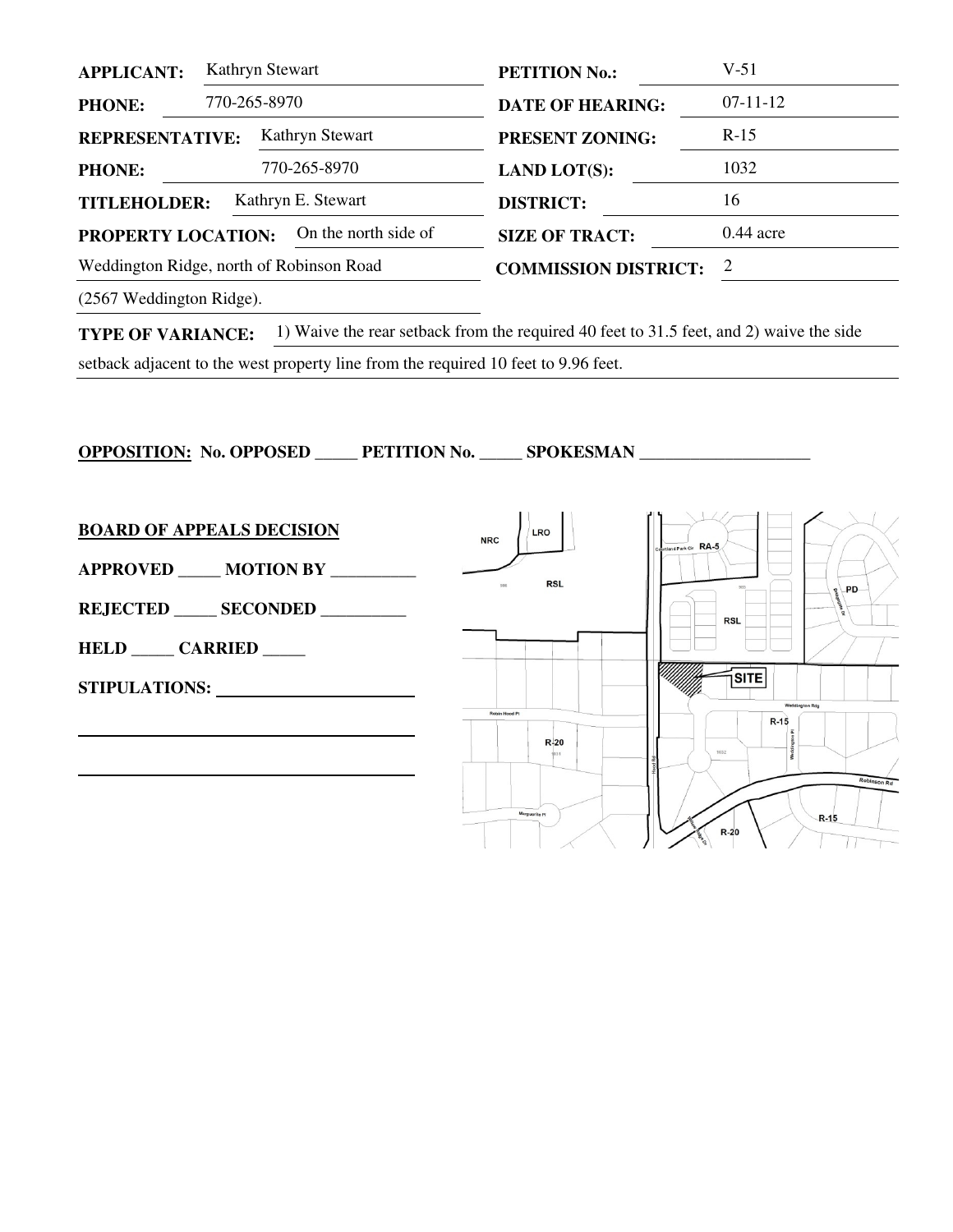| <b>APPLICANT:</b>                         |  | Kathryn Stewart      | <b>PETITION No.:</b>        | $V-51$      |
|-------------------------------------------|--|----------------------|-----------------------------|-------------|
| <b>PHONE:</b>                             |  | 770-265-8970         | <b>DATE OF HEARING:</b>     | $07-11-12$  |
| Kathryn Stewart<br><b>REPRESENTATIVE:</b> |  |                      | <b>PRESENT ZONING:</b>      | $R-15$      |
| <b>PHONE:</b>                             |  | 770-265-8970         | <b>LAND LOT(S):</b>         | 1032        |
| Kathryn E. Stewart<br><b>TITLEHOLDER:</b> |  |                      | <b>DISTRICT:</b>            | 16          |
| <b>PROPERTY LOCATION:</b>                 |  | On the north side of | <b>SIZE OF TRACT:</b>       | $0.44$ acre |
| Weddington Ridge, north of Robinson Road  |  |                      | <b>COMMISSION DISTRICT:</b> | 2           |
|                                           |  |                      |                             |             |

(2567 Weddington Ridge).

**TYPE OF VARIANCE:** 1) Waive the rear setback from the required 40 feet to 31.5 feet, and 2) waive the side

setback adjacent to the west property line from the required 10 feet to 9.96 feet.

**OPPOSITION: No. OPPOSED \_\_\_\_\_ PETITION No. \_\_\_\_\_ SPOKESMAN \_\_\_\_\_\_\_\_\_\_\_\_\_\_\_\_\_\_\_\_** 

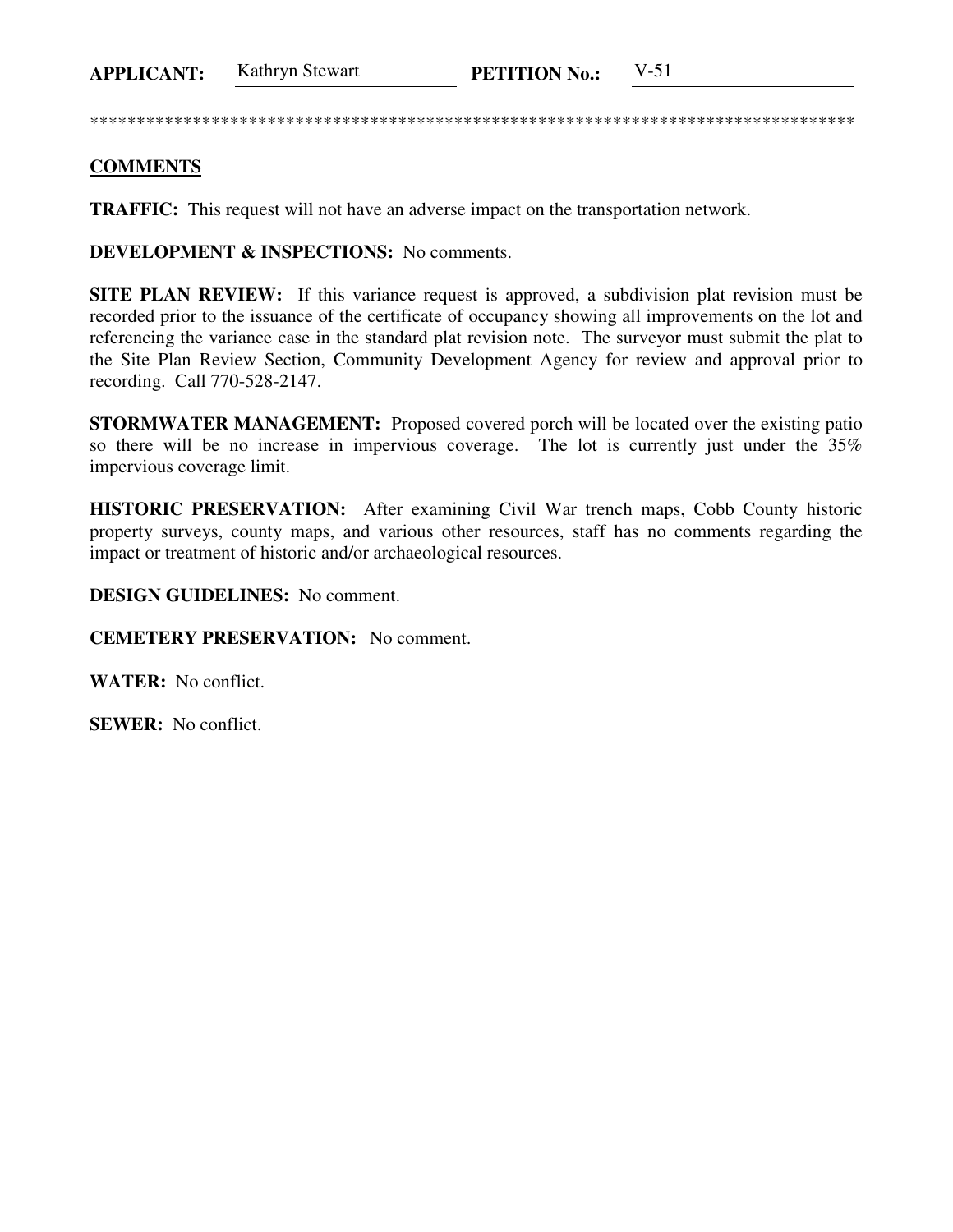**APPLICANT:** Kathryn Stewart **PETITION No.:** V-51

\*\*\*\*\*\*\*\*\*\*\*\*\*\*\*\*\*\*\*\*\*\*\*\*\*\*\*\*\*\*\*\*\*\*\*\*\*\*\*\*\*\*\*\*\*\*\*\*\*\*\*\*\*\*\*\*\*\*\*\*\*\*\*\*\*\*\*\*\*\*\*\*\*\*\*\*\*\*\*\*\*\*

## **COMMENTS**

**TRAFFIC:** This request will not have an adverse impact on the transportation network.

**DEVELOPMENT & INSPECTIONS:** No comments.

**SITE PLAN REVIEW:** If this variance request is approved, a subdivision plat revision must be recorded prior to the issuance of the certificate of occupancy showing all improvements on the lot and referencing the variance case in the standard plat revision note. The surveyor must submit the plat to the Site Plan Review Section, Community Development Agency for review and approval prior to recording. Call 770-528-2147.

**STORMWATER MANAGEMENT:** Proposed covered porch will be located over the existing patio so there will be no increase in impervious coverage. The lot is currently just under the 35% impervious coverage limit.

**HISTORIC PRESERVATION:** After examining Civil War trench maps, Cobb County historic property surveys, county maps, and various other resources, staff has no comments regarding the impact or treatment of historic and/or archaeological resources.

**DESIGN GUIDELINES:** No comment.

**CEMETERY PRESERVATION:** No comment.

**WATER:** No conflict.

**SEWER:** No conflict.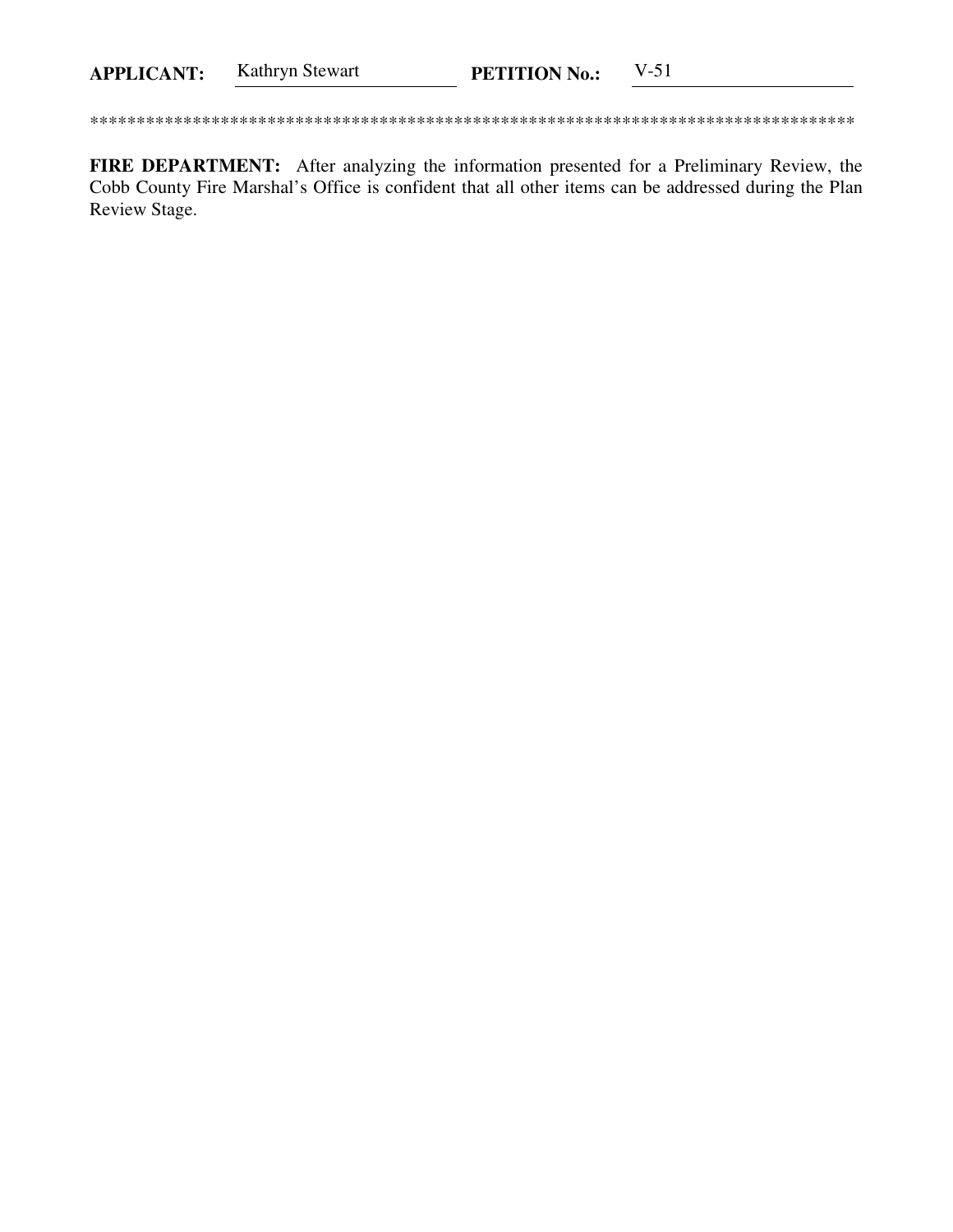FIRE DEPARTMENT: After analyzing the information presented for a Preliminary Review, the Cobb County Fire Marshal's Office is confident that all other items can be addressed during the Plan Review Stage.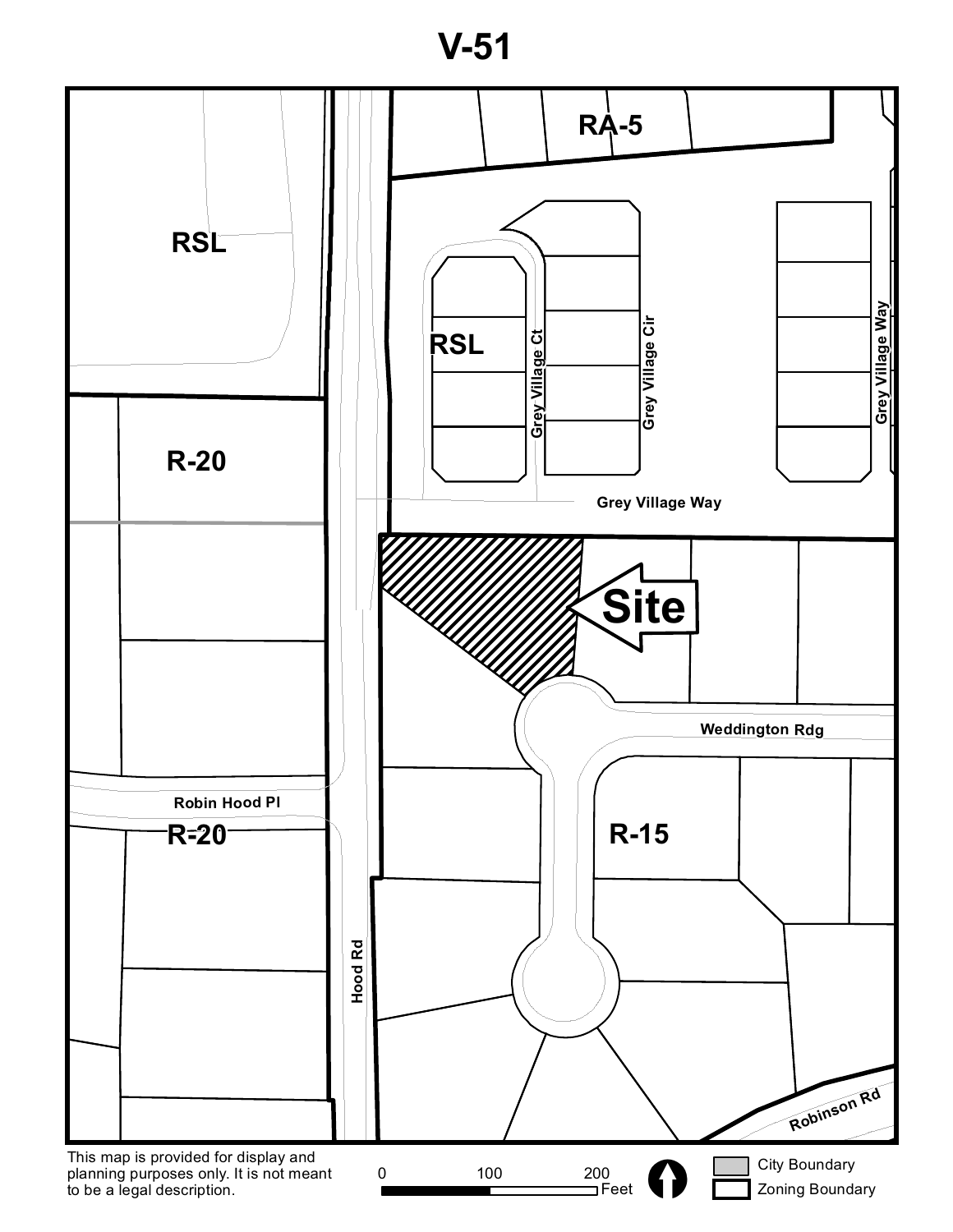**V-51**